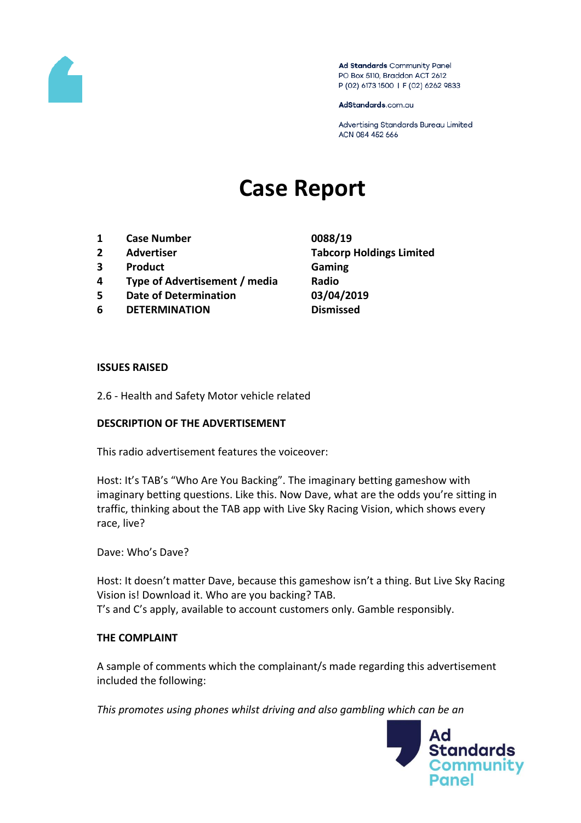

Ad Standards Community Panel PO Box 5110, Braddon ACT 2612 P (02) 6173 1500 | F (02) 6262 9833

AdStandards.com.au

Advertising Standards Bureau Limited ACN 084 452 666

# **Case Report**

- **1 Case Number 0088/19**
- 
- **3 Product Gaming**
- **4 Type of Advertisement / media Radio**
- **5 Date of Determination 03/04/2019**
- **6 DETERMINATION Dismissed**

**2 Advertiser Tabcorp Holdings Limited**

#### **ISSUES RAISED**

2.6 - Health and Safety Motor vehicle related

### **DESCRIPTION OF THE ADVERTISEMENT**

This radio advertisement features the voiceover:

Host: It's TAB's "Who Are You Backing". The imaginary betting gameshow with imaginary betting questions. Like this. Now Dave, what are the odds you're sitting in traffic, thinking about the TAB app with Live Sky Racing Vision, which shows every race, live?

Dave: Who's Dave?

Host: It doesn't matter Dave, because this gameshow isn't a thing. But Live Sky Racing Vision is! Download it. Who are you backing? TAB. T's and C's apply, available to account customers only. Gamble responsibly.

### **THE COMPLAINT**

A sample of comments which the complainant/s made regarding this advertisement included the following:

*This promotes using phones whilst driving and also gambling which can be an* 

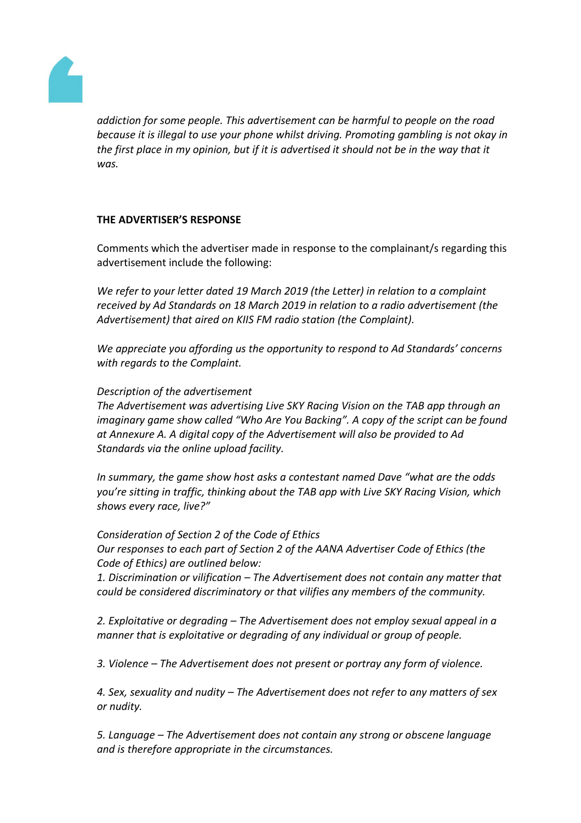

*addiction for some people. This advertisement can be harmful to people on the road because it is illegal to use your phone whilst driving. Promoting gambling is not okay in the first place in my opinion, but if it is advertised it should not be in the way that it was.*

## **THE ADVERTISER'S RESPONSE**

Comments which the advertiser made in response to the complainant/s regarding this advertisement include the following:

*We refer to your letter dated 19 March 2019 (the Letter) in relation to a complaint received by Ad Standards on 18 March 2019 in relation to a radio advertisement (the Advertisement) that aired on KIIS FM radio station (the Complaint).*

*We appreciate you affording us the opportunity to respond to Ad Standards' concerns with regards to the Complaint.*

### *Description of the advertisement*

*The Advertisement was advertising Live SKY Racing Vision on the TAB app through an imaginary game show called "Who Are You Backing". A copy of the script can be found at Annexure A. A digital copy of the Advertisement will also be provided to Ad Standards via the online upload facility.*

*In summary, the game show host asks a contestant named Dave "what are the odds you're sitting in traffic, thinking about the TAB app with Live SKY Racing Vision, which shows every race, live?"*

*Consideration of Section 2 of the Code of Ethics Our responses to each part of Section 2 of the AANA Advertiser Code of Ethics (the Code of Ethics) are outlined below:*

*1. Discrimination or vilification – The Advertisement does not contain any matter that could be considered discriminatory or that vilifies any members of the community.*

*2. Exploitative or degrading – The Advertisement does not employ sexual appeal in a manner that is exploitative or degrading of any individual or group of people.*

*3. Violence – The Advertisement does not present or portray any form of violence.*

*4. Sex, sexuality and nudity – The Advertisement does not refer to any matters of sex or nudity.*

*5. Language – The Advertisement does not contain any strong or obscene language and is therefore appropriate in the circumstances.*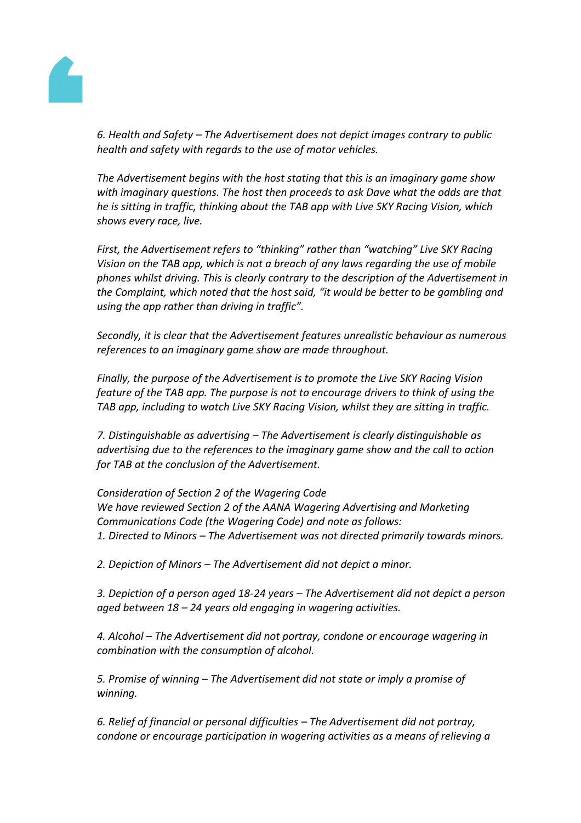

*6. Health and Safety – The Advertisement does not depict images contrary to public health and safety with regards to the use of motor vehicles.*

*The Advertisement begins with the host stating that this is an imaginary game show with imaginary questions. The host then proceeds to ask Dave what the odds are that he is sitting in traffic, thinking about the TAB app with Live SKY Racing Vision, which shows every race, live.*

*First, the Advertisement refers to "thinking" rather than "watching" Live SKY Racing Vision on the TAB app, which is not a breach of any laws regarding the use of mobile phones whilst driving. This is clearly contrary to the description of the Advertisement in the Complaint, which noted that the host said, "it would be better to be gambling and using the app rather than driving in traffic".*

*Secondly, it is clear that the Advertisement features unrealistic behaviour as numerous references to an imaginary game show are made throughout.*

*Finally, the purpose of the Advertisement is to promote the Live SKY Racing Vision feature of the TAB app. The purpose is not to encourage drivers to think of using the TAB app, including to watch Live SKY Racing Vision, whilst they are sitting in traffic.*

*7. Distinguishable as advertising – The Advertisement is clearly distinguishable as advertising due to the references to the imaginary game show and the call to action for TAB at the conclusion of the Advertisement.*

*Consideration of Section 2 of the Wagering Code We have reviewed Section 2 of the AANA Wagering Advertising and Marketing Communications Code (the Wagering Code) and note as follows: 1. Directed to Minors – The Advertisement was not directed primarily towards minors.*

*2. Depiction of Minors – The Advertisement did not depict a minor.*

*3. Depiction of a person aged 18-24 years – The Advertisement did not depict a person aged between 18 – 24 years old engaging in wagering activities.*

*4. Alcohol – The Advertisement did not portray, condone or encourage wagering in combination with the consumption of alcohol.*

*5. Promise of winning – The Advertisement did not state or imply a promise of winning.*

*6. Relief of financial or personal difficulties – The Advertisement did not portray, condone or encourage participation in wagering activities as a means of relieving a*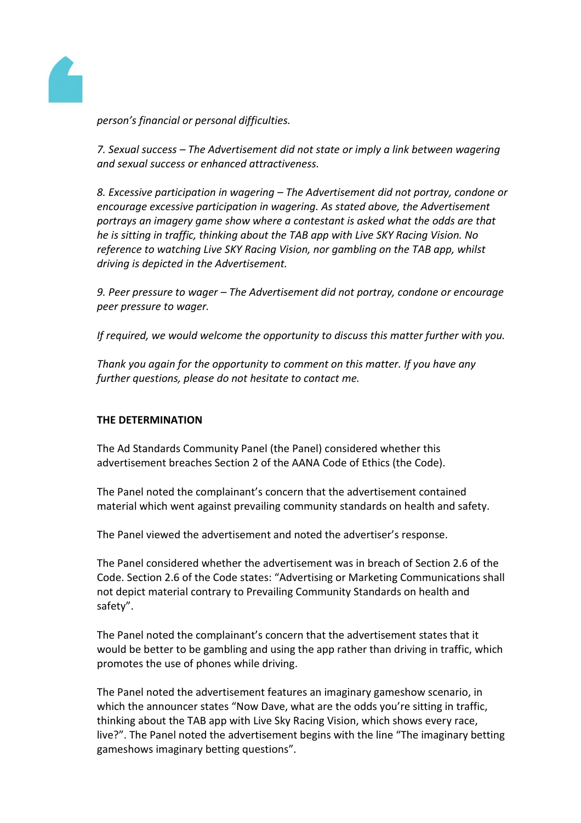

*person's financial or personal difficulties.*

*7. Sexual success – The Advertisement did not state or imply a link between wagering and sexual success or enhanced attractiveness.*

*8. Excessive participation in wagering – The Advertisement did not portray, condone or encourage excessive participation in wagering. As stated above, the Advertisement portrays an imagery game show where a contestant is asked what the odds are that he is sitting in traffic, thinking about the TAB app with Live SKY Racing Vision. No reference to watching Live SKY Racing Vision, nor gambling on the TAB app, whilst driving is depicted in the Advertisement.*

*9. Peer pressure to wager – The Advertisement did not portray, condone or encourage peer pressure to wager.*

*If required, we would welcome the opportunity to discuss this matter further with you.*

*Thank you again for the opportunity to comment on this matter. If you have any further questions, please do not hesitate to contact me.*

### **THE DETERMINATION**

The Ad Standards Community Panel (the Panel) considered whether this advertisement breaches Section 2 of the AANA Code of Ethics (the Code).

The Panel noted the complainant's concern that the advertisement contained material which went against prevailing community standards on health and safety.

The Panel viewed the advertisement and noted the advertiser's response.

The Panel considered whether the advertisement was in breach of Section 2.6 of the Code. Section 2.6 of the Code states: "Advertising or Marketing Communications shall not depict material contrary to Prevailing Community Standards on health and safety".

The Panel noted the complainant's concern that the advertisement states that it would be better to be gambling and using the app rather than driving in traffic, which promotes the use of phones while driving.

The Panel noted the advertisement features an imaginary gameshow scenario, in which the announcer states "Now Dave, what are the odds you're sitting in traffic, thinking about the TAB app with Live Sky Racing Vision, which shows every race, live?". The Panel noted the advertisement begins with the line "The imaginary betting gameshows imaginary betting questions".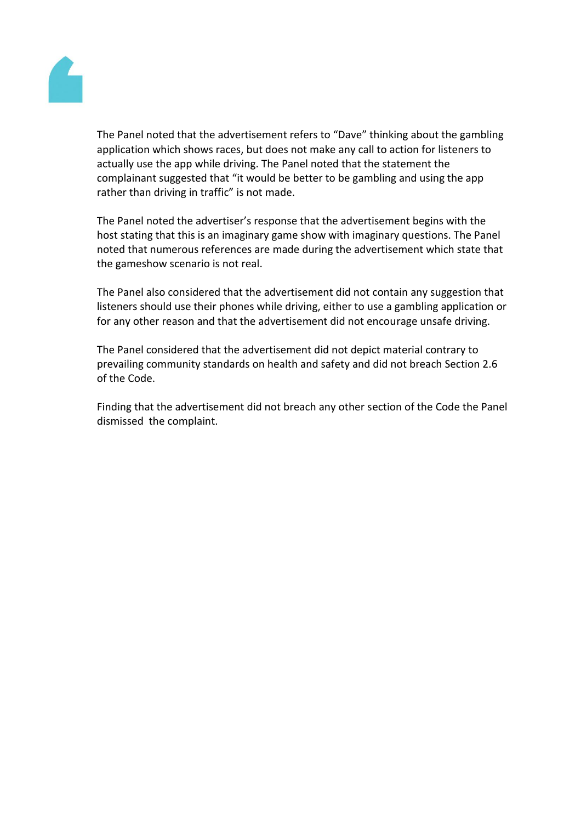

The Panel noted that the advertisement refers to "Dave" thinking about the gambling application which shows races, but does not make any call to action for listeners to actually use the app while driving. The Panel noted that the statement the complainant suggested that "it would be better to be gambling and using the app rather than driving in traffic" is not made.

The Panel noted the advertiser's response that the advertisement begins with the host stating that this is an imaginary game show with imaginary questions. The Panel noted that numerous references are made during the advertisement which state that the gameshow scenario is not real.

The Panel also considered that the advertisement did not contain any suggestion that listeners should use their phones while driving, either to use a gambling application or for any other reason and that the advertisement did not encourage unsafe driving.

The Panel considered that the advertisement did not depict material contrary to prevailing community standards on health and safety and did not breach Section 2.6 of the Code.

Finding that the advertisement did not breach any other section of the Code the Panel dismissed the complaint.